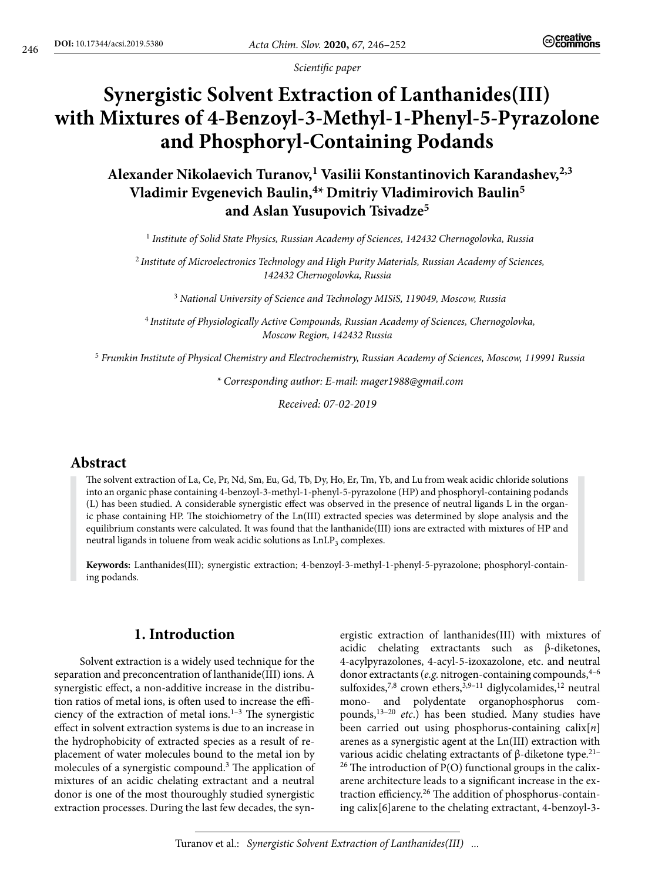*Scientific paper*

# **Synergistic Solvent Extraction of Lanthanides(III) with Mixtures of 4-Benzoyl-3-Methyl-1-Phenyl-5-Pyrazolone and Phosphoryl-Containing Podands**

Alexander Nikolaevich Turanov,<sup>1</sup> Vasilii Konstantinovich Karandashev,<sup>2,3</sup> **Vladimir Evgenevich Baulin,4\*Dmitriy Vladimirovich Baulin5 and Aslan Yusupovich Tsivadze5**

<sup>1</sup> *Institute of Solid State Physics, Russian Academy of Sciences, 142432 Chernogolovka, Russia*

<sup>2</sup> *Institute of Microelectronics Technology and High Purity Materials, Russian Academy of Sciences, 142432 Chernogolovka, Russia*

<sup>3</sup> *National University of Science and Technology MISiS, 119049, Moscow, Russia*

<sup>4</sup> *Institute of Physiologically Active Compounds, Russian Academy of Sciences, Chernogolovka, Moscow Region, 142432 Russia*

<sup>5</sup> *Frumkin Institute of Physical Chemistry and Electrochemistry, Russian Academy of Sciences, Moscow, 119991 Russia*

*\* Corresponding author: E-mail: mager1988@gmail.com*

*Received: 07-02-2019*

## **Abstract**

The solvent extraction of La, Ce, Pr, Nd, Sm, Eu, Gd, Tb, Dy, Ho, Er, Tm, Yb, and Lu from weak acidic chloride solutions into an organic phase containing 4-benzoyl-3-methyl-1-phenyl-5-pyrazolone (HP) and phosphoryl-containing podands (L) has been studied. A considerable synergistic effect was observed in the presence of neutral ligands L in the organic phase containing HP. The stoichiometry of the Ln(III) extracted species was determined by slope analysis and the equilibrium constants were calculated. It was found that the lanthanide(III) ions are extracted with mixtures of HP and neutral ligands in toluene from weak acidic solutions as LnLP<sub>3</sub> complexes.

**Keywords:** Lanthanides(III); synergistic extraction; 4-benzoyl-3-methyl-1-phenyl-5-pyrazolone; phosphoryl-containing podands.

## **1. Introduction**

Solvent extraction is a widely used technique for the separation and preconcentration of lanthanide(III) ions. A synergistic effect, a non-additive increase in the distribution ratios of metal ions, is often used to increase the efficiency of the extraction of metal ions. $1-3$  The synergistic effect in solvent extraction systems is due to an increase in the hydrophobicity of extracted species as a result of replacement of water molecules bound to the metal ion by molecules of a synergistic compound.<sup>3</sup> The application of mixtures of an acidic chelating extractant and a neutral donor is one of the most thouroughly studied synergistic extraction processes. During the last few decades, the synergistic extraction of lanthanides(III) with mixtures of acidic chelating extractants such as β-diketones, 4-acylpyrazolones, 4-acyl-5-izoxazolone, etc. and neutral donor extractants (*e.g.* nitrogen-containing compounds, 4-6 sulfoxides,<sup>7,8</sup> crown ethers,<sup>3,9-11</sup> diglycolamides,<sup>12</sup> neutral mono- and polydentate organophosphorus compounds,13–20 *etc*.) has been studied. Many studies have been carried out using phosphorus-containing calix[*n*] arenes as a synergistic agent at the Ln(III) extraction with various acidic chelating extractants of β-diketone type.<sup>21–</sup>  $26$  The introduction of P(O) functional groups in the calixarene architecture leads to a significant increase in the extraction efficiency.26 The addition of phosphorus-containing calix[6]arene to the chelating extractant, 4-benzoyl-3-

Turanov et al.: *Synergistic Solvent Extraction of Lanthanides(III) ...*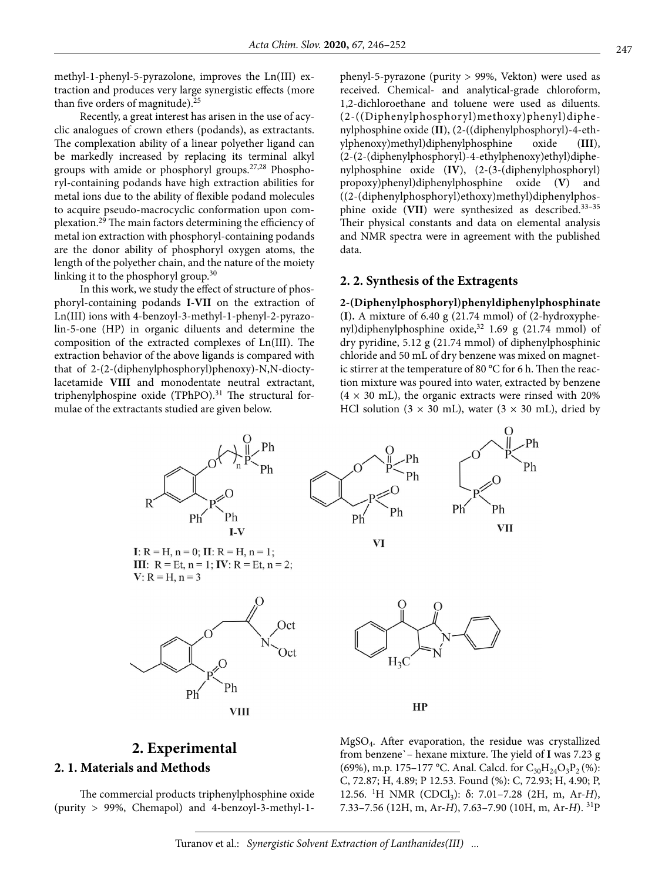methyl-1-phenyl-5-pyrazolone, improves the Ln(III) extraction and produces very large synergistic effects (more than five orders of magnitude).25

Recently, a great interest has arisen in the use of acyclic analogues of crown ethers (podands), as extractants. The complexation ability of a linear polyether ligand can be markedly increased by replacing its terminal alkyl groups with amide or phosphoryl groups.27,28 Phosphoryl-containing podands have high extraction abilities for metal ions due to the ability of flexible podand molecules to acquire pseudo-macrocyclic conformation upon complexation.29 The main factors determining the efficiency of metal ion extraction with phosphoryl-containing podands are the donor ability of phosphoryl oxygen atoms, the length of the polyether chain, and the nature of the moiety linking it to the phosphoryl group.<sup>30</sup>

In this work, we study the effect of structure of phosphoryl-containing podands **I-VII** on the extraction of Ln(III) ions with 4-benzoyl-3-methyl-1-phenyl-2-pyrazolin-5-one (HP) in organic diluents and determine the composition of the extracted complexes of Ln(III). The extraction behavior of the above ligands is compared with that of 2-(2-(diphenylphosphoryl)phenoxy)-N,N-dioctylacetamide **VIII** and monodentate neutral extractant, triphenylphospine oxide (TPhPO). $31$  The structural formulae of the extractants studied are given below.

phenyl-5-pyrazone (purity > 99%, Vekton) were used as received. Chemical- and analytical-grade chloroform, 1,2-dichloroethane and toluene were used as diluents. (2-((Diphenylphosphoryl)methoxy)phenyl)diphenylphosphine oxide (**II**), (2-((diphenylphosphoryl)-4-ethylphenoxy)methyl)diphenylphosphine oxide (**III**), (2-(2-(diphenylphosphoryl)-4-ethylphenoxy)ethyl)diphenylphosphine oxide (**IV**), (2-(3-(diphenylphosphoryl) propoxy)phenyl)diphenylphosphine oxide (**V**) and ((2-(diphenylphosphoryl)ethoxy)methyl)diphenylphosphine oxide (**VII**) were synthesized as described.33–35 Their physical constants and data on elemental analysis and NMR spectra were in agreement with the published data.

#### **2. 2. Synthesis of the Extragents**

#### **2-(Diphenylphosphoryl)phenyldiphenylphosphinate**

(**I**)**.** A mixture of 6.40 g (21.74 mmol) of (2-hydroxyphenyl)diphenylphosphine oxide,<sup>32</sup> 1.69 g (21.74 mmol) of dry pyridine, 5.12 g (21.74 mmol) of diphenylphosphinic chloride and 50 mL of dry benzene was mixed on magnetic stirrer at the temperature of 80 °С for 6 h. Then the reaction mixture was poured into water, extracted by benzene  $(4 \times 30 \text{ mL})$ , the organic extracts were rinsed with 20% HCl solution ( $3 \times 30$  mL), water ( $3 \times 30$  mL), dried by



# **2. Experimental**

## **2. 1. Materials and Methods**

The commercial products triphenylphosphine oxide (purity > 99%, Chemapol) and 4-benzoyl-3-methyl-1MgSO4. After evaporation, the residue was crystallized from benzene`– hexane mixture. The yield of **I** was 7.23 g (69%), m.p. 175–177 °C. Anal. Calcd. for  $C_{30}H_{24}O_3P_2$  (%): C, 72.87; H, 4.89; P 12.53. Found (%): C, 72.93; H, 4.90; P, 12.56. <sup>1</sup>H NMR (CDCl<sub>3</sub>): δ: 7.01–7.28 (2H, m, Ar-*H*), 7.33–7.56 (12Н, m, Ar-*H*), 7.63–7.90 (10Н, m, Ar-*H*). 31P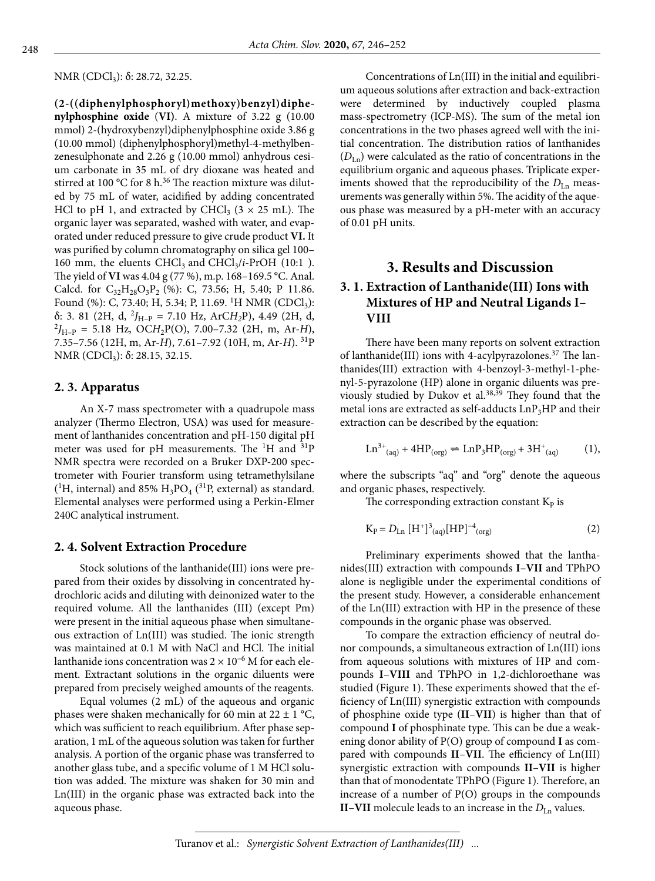NMR (CDCl<sub>3</sub>): δ: 28.72, 32.25.

**(2-((diphenylphosphoryl)methoxy)benzyl)diphenylphosphine oxide** (**VI)**. A mixture of 3.22 g (10.00 mmol) 2-(hydroxybenzyl)diphenylphosphine oxide 3.86 g (10.00 mmol) (diphenylphosphoryl)methyl-4-methylbenzenesulphonate and 2.26 g (10.00 mmol) anhydrous cesium carbonate in 35 mL of dry dioxane was heated and stirred at 100 °C for 8 h.<sup>36</sup> The reaction mixture was diluted by 75 mL of water, acidified by adding concentrated HCl to pH 1, and extracted by CHCl<sub>3</sub> ( $3 \times 25$  mL). The organic layer was separated, washed with water, and evaporated under reduced pressure to give crude product **VI.** It was purified by column chromatography on silica gel 100– 160 mm, the eluents  $CHCl<sub>3</sub>$  and  $CHCl<sub>3</sub>/i$ -PrOH (10:1). The yield of **VI** was 4.04 g (77 %), m.p. 168–169.5 °С. Anal. Calcd. for  $C_{32}H_{28}O_3P_2$  (%): C, 73.56; H, 5.40; P 11.86. Found (%): C, 73.40; H, 5.34; P, 11.69. <sup>1</sup>H NMR (CDCl<sub>3</sub>):  $\delta$ : 3. 81 (2H, d, <sup>2</sup><sub>H-P</sub> = 7.10 Hz, ArCH<sub>2</sub>P), 4.49 (2H, d,  $^{2}J_{H-P}$  = 5.18 Hz, OC*H*<sub>2</sub>P(O), 7.00–7.32 (2H, m, Ar-*H*), 7.35–7.56 (12Н, m, Ar-*H*), 7.61–7.92 (10Н, m, Ar-*H*). 31P NMR (CDCl<sub>3</sub>): δ: 28.15, 32.15.

#### **2. 3. Apparatus**

An X-7 mass spectrometer with a quadrupole mass analyzer (Thermo Electron, USA) was used for measurement of lanthanides concentration and pH-150 digital pH meter was used for pH measurements. The  ${}^{1}$ H and  ${}^{31}P$ NMR spectra were recorded on a Bruker DXP-200 spectrometer with Fourier transform using tetramethylsilane (<sup>1</sup>H, internal) and 85%  $H_3PO_4$  (<sup>31</sup>P, external) as standard. Elemental analyses were performed using a Perkin-Elmer 240C analytical instrument.

#### **2. 4. Solvent Extraction Procedure**

Stock solutions of the lanthanide(III) ions were prepared from their oxides by dissolving in concentrated hydrochloric acids and diluting with deinonized water to the required volume. All the lanthanides (III) (except Pm) were present in the initial aqueous phase when simultaneous extraction of Ln(III) was studied. The ionic strength was maintained at 0.1 M with NaCl and HCl. The initial lanthanide ions concentration was  $2 \times 10^{-6}$  M for each element. Extractant solutions in the organic diluents were prepared from precisely weighed amounts of the reagents.

Equal volumes (2 mL) of the aqueous and organic phases were shaken mechanically for 60 min at  $22 \pm 1$  °C, which was sufficient to reach equilibrium. After phase separation, 1 mL of the aqueous solution was taken for further analysis. A portion of the organic phase was transferred to another glass tube, and a specific volume of 1 M HCl solution was added. The mixture was shaken for 30 min and Ln(III) in the organic phase was extracted back into the aqueous phase.

Concentrations of Ln(III) in the initial and equilibrium aqueous solutions after extraction and back-extraction were determined by inductively coupled plasma mass-spectrometry (ICP-MS). The sum of the metal ion concentrations in the two phases agreed well with the initial concentration. The distribution ratios of lanthanides (*D*Ln) were calculated as the ratio of concentrations in the equilibrium organic and aqueous phases. Triplicate experiments showed that the reproducibility of the  $D_{\text{Ln}}$  measurements was generally within 5%. The acidity of the aqueous phase was measured by a pH-meter with an accuracy of 0.01 pH units.

## **3. Results and Discussion**

## **3. 1. Extraction of Lanthanide(III) Ions with Mixtures of HP and Neutral Ligands I– VIII**

There have been many reports on solvent extraction of lanthanide(III) ions with 4-acylpyrazolones.<sup>37</sup> The lanthanides(III) extraction with 4-benzoyl-3-methyl-1-phenyl-5-pyrazolone (HP) alone in organic diluents was previously studied by Dukov et al.38,39 They found that the metal ions are extracted as self-adducts  $LnP<sub>3</sub>HP$  and their extraction can be described by the equation:

$$
\operatorname{Ln}^{3+}(\text{aq}) + 4\text{HP}_{\text{(org)}} \rightleftharpoons \operatorname{Ln}P_3\text{HP}_{\text{(org)}} + 3\text{H}^+(\text{aq}) \tag{1},
$$

where the subscripts "aq" and "org" denote the aqueous and organic phases, respectively.

The corresponding extraction constant  $K_{P}$  is

$$
K_{P} = D_{Ln} [H^{+}]^{3}_{(aq)} [HP]^{-4}_{(org)}
$$
 (2)

Preliminary experiments showed that the lanthanides(III) extraction with compounds **I**–**VII** and TPhPO alone is negligible under the experimental conditions of the present study. However, a considerable enhancement of the Ln(III) extraction with HP in the presence of these compounds in the organic phase was observed.

To compare the extraction efficiency of neutral donor compounds, a simultaneous extraction of Ln(III) ions from aqueous solutions with mixtures of HP and compounds **I**–**VIII** and TPhPO in 1,2-dichloroethane was studied (Figure 1). These experiments showed that the efficiency of Ln(III) synergistic extraction with compounds of phosphine oxide type (**II**–**VII**) is higher than that of compound **I** of phosphinate type. This can be due a weakening donor ability of P(O) group of compound **I** as compared with compounds **II**–**VII**. The efficiency of Ln(III) synergistic extraction with compounds **II**–**VII** is higher than that of monodentate TPhPO (Figure 1). Therefore, an increase of a number of P(O) groups in the compounds **II–VII** molecule leads to an increase in the  $D_{\text{Ln}}$  values.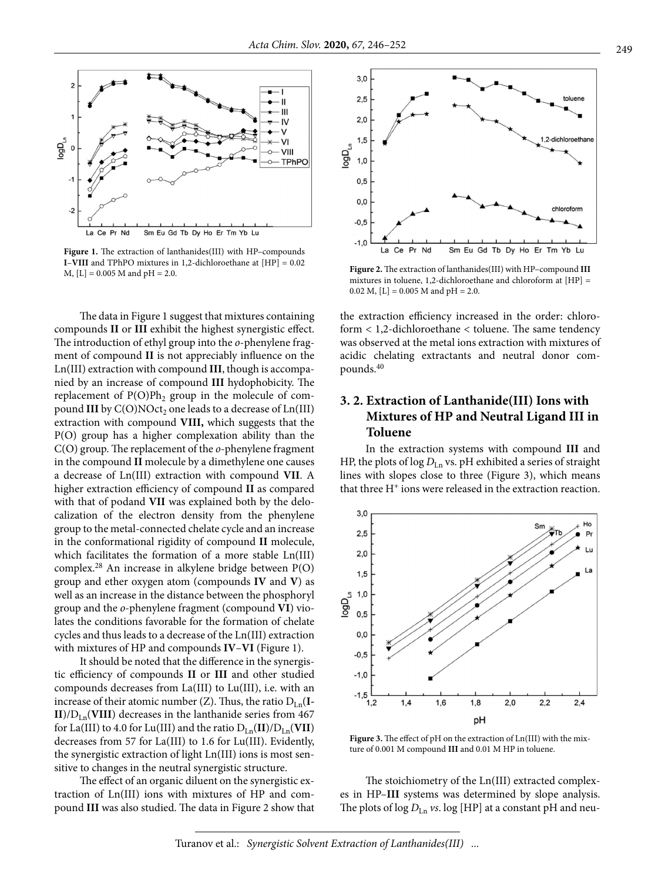

**Figure 1.** The extraction of lanthanides(III) with HP–compounds **I**–**VIII** and TPhPO mixtures in 1,2-dichloroethane at [HP] = 0.02 M, [L] = 0.005 M and pH = 2.0.

The data in Figure 1 suggest that mixtures containing compounds **II** or **III** exhibit the highest synergistic effect. The introduction of ethyl group into the *o*-phenylene fragment of compound **II** is not appreciably influence on the Ln(III) extraction with compound **III**, though is accompanied by an increase of compound **III** hydophobicity. The replacement of  $P(O)Ph_2$  group in the molecule of compound **III** by C(O)NOct<sub>2</sub> one leads to a decrease of Ln(III) extraction with compound **VIII,** which suggests that the P(O) group has a higher complexation ability than the C(O) group. The replacement of the *o*-phenylene fragment in the compound **II** molecule by a dimethylene one causes a decrease of Ln(III) extraction with compound **VII**. A higher extraction efficiency of compound **II** as compared with that of podand **VII** was explained both by the delocalization of the electron density from the phenylene group to the metal-connected chelate cycle and an increase in the conformational rigidity of compound **II** molecule, which facilitates the formation of a more stable Ln(III) complex.28 An increase in alkylene bridge between P(O) group and ether oxygen atom (compounds **IV** and **V**) as well as an increase in the distance between the phosphoryl group and the *o*-phenylene fragment (compound **VI**) violates the conditions favorable for the formation of chelate cycles and thus leads to a decrease of the Ln(III) extraction with mixtures of HP and compounds **IV**–**VI** (Figure 1).

It should be noted that the difference in the synergistic efficiency of compounds **II** or **III** and other studied compounds decreases from La(III) to Lu(III), i.e. with an increase of their atomic number  $(Z)$ . Thus, the ratio  $D_{Ln}(I-\mathbf{I})$  **decreases in the lanthanide series from 467** for La(III) to 4.0 for Lu(III) and the ratio  $D_{Ln}(II)/D_{Ln}(VII)$ decreases from 57 for La(III) to 1.6 for Lu(III). Evidently, the synergistic extraction of light Ln(III) ions is most sensitive to changes in the neutral synergistic structure.

The effect of an organic diluent on the synergistic extraction of Ln(III) ions with mixtures of HP and compound **III** was also studied. The data in Figure 2 show that



**Figure 2.** The extraction of lanthanides(III) with HP–compound **III**  mixtures in toluene, 1,2-dichloroethane and chloroform at [HP] = 0.02 M,  $[L] = 0.005$  M and pH = 2.0.

the extraction efficiency increased in the order: chloroform < 1,2-dichloroethane < toluene. The same tendency was observed at the metal ions extraction with mixtures of acidic chelating extractants and neutral donor compounds.40

## **3. 2. Extraction of Lanthanide(III) Ions with Mixtures of HP and Neutral Ligand III in Toluene**

In the extraction systems with compound **III** and HP, the plots of log  $D_{Ln}$  vs. pH exhibited a series of straight lines with slopes close to three (Figure 3), which means that three  $H^+$  ions were released in the extraction reaction.



**Figure 3.** The effect of pH on the extraction of Ln(III) with the mixture of 0.001 M compound **III** and 0.01 M HP in toluene.

The stoichiometry of the Ln(III) extracted complexes in HP–**III** systems was determined by slope analysis. The plots of  $\log D_{\text{Ln}}$  *vs*.  $\log$  [HP] at a constant pH and neu-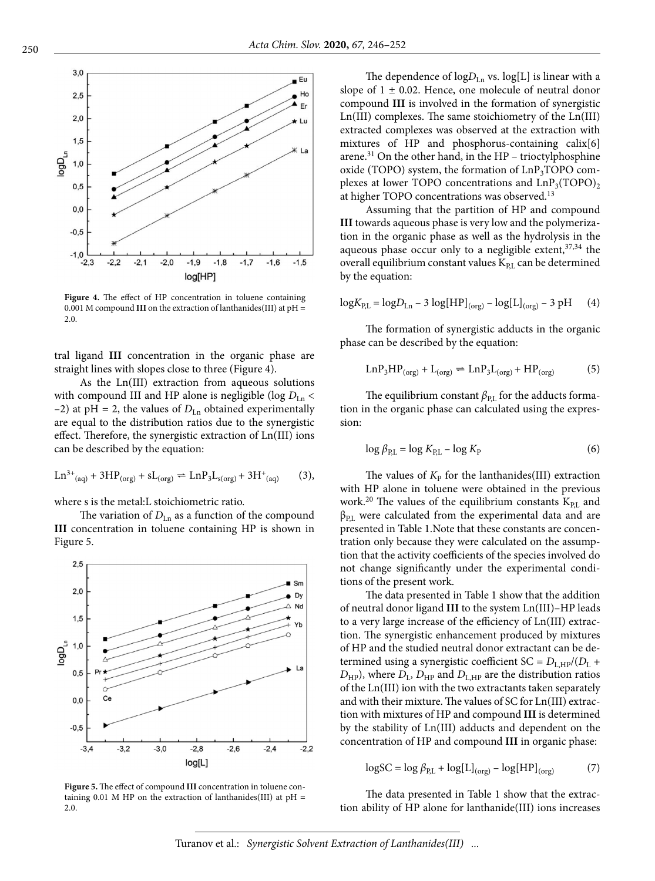

**Figure 4.** The effect of HP concentration in toluene containing 0.001 M compound **III** on the extraction of lanthanides(III) at pH = 2.0.

tral ligand **III** concentration in the organic phase are straight lines with slopes close to three (Figure 4).

As the Ln(III) extraction from aqueous solutions with compound III and HP alone is negligible (log  $D_{\text{Ln}}$  <  $-2$ ) at pH = 2, the values of  $D_{Ln}$  obtained experimentally are equal to the distribution ratios due to the synergistic effect. Therefore, the synergistic extraction of Ln(III) ions can be described by the equation:

$$
Ln^{3+}(aq) + 3HP_{(org)} + sL_{(org)} \rightleftharpoons LnP_3L_{s(org)} + 3H^+(aq) \tag{3}
$$

where s is the metal:L stoichiometric ratio.

The variation of  $D_{Ln}$  as a function of the compound **III** concentration in toluene containing HP is shown in Figure 5.



**Figure 5.** The effect of compound **III** concentration in toluene containing 0.01 M HP on the extraction of lanthanides(III) at  $pH =$ 2.0.

The dependence of  $logD_{Ln}$  vs.  $log[L]$  is linear with a slope of  $1 \pm 0.02$ . Hence, one molecule of neutral donor compound **III** is involved in the formation of synergistic Ln(III) complexes. The same stoichiometry of the Ln(III) extracted complexes was observed at the extraction with mixtures of HP and phosphorus-containing calix[6] arene.<sup>31</sup> On the other hand, in the HP – trioctylphosphine oxide (TOPO) system, the formation of  $LnP_3TOPO$  complexes at lower TOPO concentrations and  $LnP_3(TOPO)$ , at higher TOPO concentrations was observed.<sup>13</sup>

Assuming that the partition of HP and compound **III** towards aqueous phase is very low and the polymerization in the organic phase as well as the hydrolysis in the aqueous phase occur only to a negligible extent,  $37,34$  the overall equilibrium constant values  $K_{PL}$  can be determined by the equation:

$$
\log K_{\rm P,L} = \log D_{\rm Ln} - 3 \log[\rm HP]_{(org)} - \log[\rm L]_{(org)} - 3 \rm pH \qquad (4)
$$

The formation of synergistic adducts in the organic phase can be described by the equation:

$$
LnP_3HP_{(org)} + L_{(org)} \rightleftharpoons LnP_3L_{(org)} + HP_{(org)}
$$
 (5)

The equilibrium constant  $\beta_{PL}$  for the adducts formation in the organic phase can calculated using the expression:

$$
\log \beta_{\rm P,L} = \log K_{\rm PL} - \log K_{\rm P} \tag{6}
$$

The values of  $K_{\rm P}$  for the lanthanides(III) extraction with HP alone in toluene were obtained in the previous work.<sup>20</sup> The values of the equilibrium constants  $K_{PL}$  and  $\beta_{PL}$  were calculated from the experimental data and are presented in Table 1.Note that these constants are concentration only because they were calculated on the assumption that the activity coefficients of the species involved do not change significantly under the experimental conditions of the present work.

The data presented in Table 1 show that the addition of neutral donor ligand **III** to the system Ln(III)–HP leads to a very large increase of the efficiency of Ln(III) extraction. The synergistic enhancement produced by mixtures of HP and the studied neutral donor extractant can be determined using a synergistic coefficient  $SC = D_{L,HP}/(D_L +$  $D_{\text{HP}}$ ), where  $D_{\text{L}}$ ,  $D_{\text{HP}}$  and  $D_{\text{L,HP}}$  are the distribution ratios of the Ln(III) ion with the two extractants taken separately and with their mixture. The values of SC for Ln(III) extraction with mixtures of HP and compound **III** is determined by the stability of Ln(III) adducts and dependent on the concentration of HP and compound **III** in organic phase:

$$
\log SC = \log \beta_{\text{P,L}} + \log[L]_{\text{(org)}} - \log[\text{HP}]_{\text{(org)}}
$$
 (7)

The data presented in Table 1 show that the extraction ability of HP alone for lanthanide(III) ions increases

Turanov et al.: *Synergistic Solvent Extraction of Lanthanides(III) ...*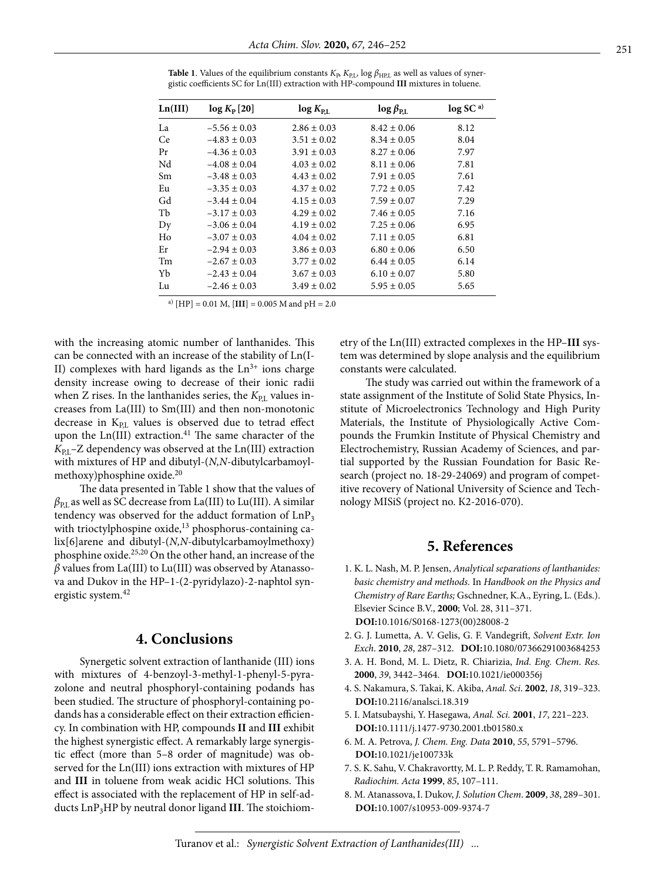| Ln(III) | $log K_{\rm P}$ [20] | $log K_{\text{PL}}$ | $\log \beta_{\rm RL}$ | log SC <sup>a</sup> |
|---------|----------------------|---------------------|-----------------------|---------------------|
| La      | $-5.56 \pm 0.03$     | $2.86 \pm 0.03$     | $8.42 \pm 0.06$       | 8.12                |
| Ce.     | $-4.83 \pm 0.03$     | $3.51 \pm 0.02$     | $8.34 \pm 0.05$       | 8.04                |
| Pr      | $-4.36 \pm 0.03$     | $3.91 \pm 0.03$     | $8.27 \pm 0.06$       | 7.97                |
| Nd      | $-4.08 \pm 0.04$     | $4.03 \pm 0.02$     | $8.11 \pm 0.06$       | 7.81                |
| Sm      | $-3.48 \pm 0.03$     | $4.43 \pm 0.02$     | $7.91 \pm 0.05$       | 7.61                |
| Eu      | $-3.35 \pm 0.03$     | $4.37 \pm 0.02$     | $7.72 \pm 0.05$       | 7.42                |
| Gd      | $-3.44 \pm 0.04$     | $4.15 \pm 0.03$     | $7.59 \pm 0.07$       | 7.29                |
| Tb      | $-3.17 \pm 0.03$     | $4.29 \pm 0.02$     | $7.46 \pm 0.05$       | 7.16                |
| Dy      | $-3.06 \pm 0.04$     | $4.19 \pm 0.02$     | $7.25 \pm 0.06$       | 6.95                |
| Ho      | $-3.07 \pm 0.03$     | $4.04 \pm 0.02$     | $7.11 \pm 0.05$       | 6.81                |
| Er      | $-2.94 \pm 0.03$     | $3.86 \pm 0.03$     | $6.80 \pm 0.06$       | 6.50                |
| Tm      | $-2.67 \pm 0.03$     | $3.77 \pm 0.02$     | $6.44 \pm 0.05$       | 6.14                |
| Yb      | $-2.43 \pm 0.04$     | $3.67 \pm 0.03$     | $6.10 \pm 0.07$       | 5.80                |
| Lu      | $-2.46 \pm 0.03$     | $3.49 \pm 0.02$     | $5.95 \pm 0.05$       | 5.65                |

**Table 1**. Values of the equilibrium constants  $K_{\rm B}$ ,  $K_{\rm PL}$ , log  $\beta_{\rm HPL}$  as well as values of synergistic coefficients SC for Ln(III) extraction with HP-compound **III** mixtures in toluene.

a) [HP] =  $0.01$  M, [III] =  $0.005$  M and pH =  $2.0$ 

with the increasing atomic number of lanthanides. This can be connected with an increase of the stability of Ln(I-II) complexes with hard ligands as the  $Ln<sup>3+</sup>$  ions charge density increase owing to decrease of their ionic radii when  $Z$  rises. In the lanthanides series, the  $K_{PL}$  values increases from La(III) to Sm(III) and then non-monotonic decrease in  $K<sub>PL</sub>$  values is observed due to tetrad effect upon the  $Ln(III)$  extraction.<sup>41</sup> The same character of the K<sub>PL</sub>–Z dependency was observed at the Ln(III) extraction with mixtures of HP and dibutyl-(*N,N*-dibutylcarbamoylmethoxy)phosphine oxide.<sup>20</sup>

The data presented in Table 1 show that the values of  $\beta_{PL}$  as well as SC decrease from La(III) to Lu(III). A similar tendency was observed for the adduct formation of  $LnP_3$ with trioctylphospine oxide,<sup>13</sup> phosphorus-containing calix[6]arene and dibutyl-(*N,N*-dibutylcarbamoylmethoxy) phosphine oxide.25,20 On the other hand, an increase of the  $\beta$  values from La(III) to Lu(III) was observed by Atanassova and Dukov in the HP–1-(2-pyridylazo)-2-naphtol synergistic system.<sup>42</sup>

## **4. Conclusions**

Synergetic solvent extraction of lanthanide (III) ions with mixtures of 4-benzoyl-3-methyl-1-phenyl-5-pyrazolone and neutral phosphoryl-containing podands has been studied. The structure of phosphoryl-containing podands has a considerable effect on their extraction efficiency. In combination with HP, compounds **II** and **III** exhibit the highest synergistic effect. A remarkably large synergistic effect (more than 5–8 order of magnitude) was observed for the Ln(III) ions extraction with mixtures of HP and **III** in toluene from weak acidic HCl solutions. This effect is associated with the replacement of HP in self-adducts LnP3HP by neutral donor ligand **III**. The stoichiometry of the Ln(III) extracted complexes in the HP–**III** system was determined by slope analysis and the equilibrium constants were calculated.

The study was carried out within the framework of a state assignment of the Institute of Solid State Physics, Institute of Microelectronics Technology and High Purity Materials, the Institute of Physiologically Active Compounds the Frumkin Institute of Physical Chemistry and Electrochemistry, Russian Academy of Sciences, and partial supported by the Russian Foundation for Basic Research (project no. 18-29-24069) and program of competitive recovery of National University of Science and Technology MISiS (project no. К2-2016-070).

## **5. References**

- 1. K. L. Nash, M. P. Jensen, *Analytical separations of lanthanides: basic chemistry and methods.* In *Handbook on the Physics and Chemistry of Rare Earths;* Gschnedner, K.A., Eyring, L. (Eds.). Elsevier Scince B.V., **2000**; Vol. 28, 311–371. **DOI:**[10.1016/S0168-1273\(00\)28008-2](https://doi.org/10.1016/S0168-1273(00)28008-2)
- 2. G. J. Lumetta, A. V. Gelis, G. F. Vandegrift, *Solvent Extr. Ion Exch*. **2010**, *28*, 287–312. **DOI:**[10.1080/07366291003684253](https://doi.org/10.1080/07366291003684253)
- 3. A. H. Bond, M. L. Dietz, R. Chiarizia, *Ind. Eng. Chem*. *Res.* **2000**, *39*, 3442–3464. **DOI:**[10.1021/ie000356j](https://doi.org/10.1021/ie000356j)
- 4. S. Nakamura, S. Takai, K. Akiba, *Anal. Sci*. **2002**, *18*, 319–323. **DOI:**[10.2116/analsci.18.319](https://doi.org/10.2116/analsci.18.319)
- 5. I. Matsubayshi, Y. Hasegawa, *Anal. Sci.* **2001**, *17*, 221–223. **DOI:**[10.1111/j.1477-9730.2001.tb01580.x](https://doi.org/10.1111/j.1477-9730.2001.tb01580.x)
- 6. M. A. Petrova, *J. Chem. Eng. Data* **2010**, *55*, 5791–5796. **DOI:**[10.1021/je100733k](https://doi.org/10.1021/je100733k)
- 7. S. K. Sahu, V. Chakravortty, M. L. P. Reddy, T. R. Ramamohan, *Radiochim. Acta* **1999**, *85*, 107–111.
- 8. M. Atanassova, I. Dukov, *J. Solution Chem*. **2009**, *38*, 289–301. **DOI:**[10.1007/s10953-009-9374-7](https://doi.org/10.1007/s10953-009-9374-7)